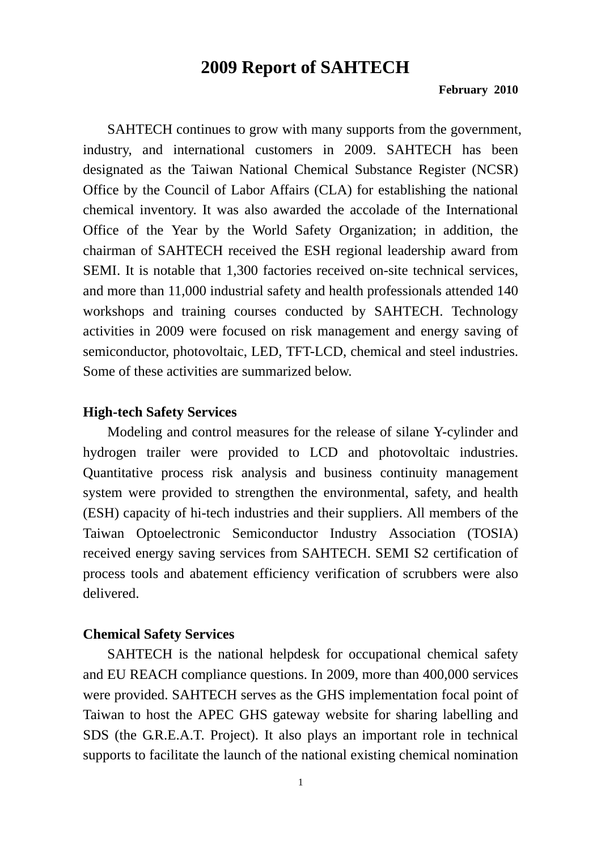## **2009 Report of SAHTECH**

#### **February 2010**

SAHTECH continues to grow with many supports from the government, industry, and international customers in 2009. SAHTECH has been designated as the Taiwan National Chemical Substance Register (NCSR) Office by the Council of Labor Affairs (CLA) for establishing the national chemical inventory. It was also awarded the accolade of the International Office of the Year by the World Safety Organization; in addition, the chairman of SAHTECH received the ESH regional leadership award from SEMI. It is notable that 1,300 factories received on-site technical services, and more than 11,000 industrial safety and health professionals attended 140 workshops and training courses conducted by SAHTECH. Technology activities in 2009 were focused on risk management and energy saving of semiconductor, photovoltaic, LED, TFT-LCD, chemical and steel industries. Some of these activities are summarized below.

### **High-tech Safety Services**

Modeling and control measures for the release of silane Y-cylinder and hydrogen trailer were provided to LCD and photovoltaic industries. Quantitative process risk analysis and business continuity management system were provided to strengthen the environmental, safety, and health (ESH) capacity of hi-tech industries and their suppliers. All members of the Taiwan Optoelectronic Semiconductor Industry Association (TOSIA) received energy saving services from SAHTECH. SEMI S2 certification of process tools and abatement efficiency verification of scrubbers were also delivered.

### **Chemical Safety Services**

SAHTECH is the national helpdesk for occupational chemical safety and EU REACH compliance questions. In 2009, more than 400,000 services were provided. SAHTECH serves as the GHS implementation focal point of Taiwan to host the APEC GHS gateway website for sharing labelling and SDS (the G.R.E.A.T. Project). It also plays an important role in technical supports to facilitate the launch of the national existing chemical nomination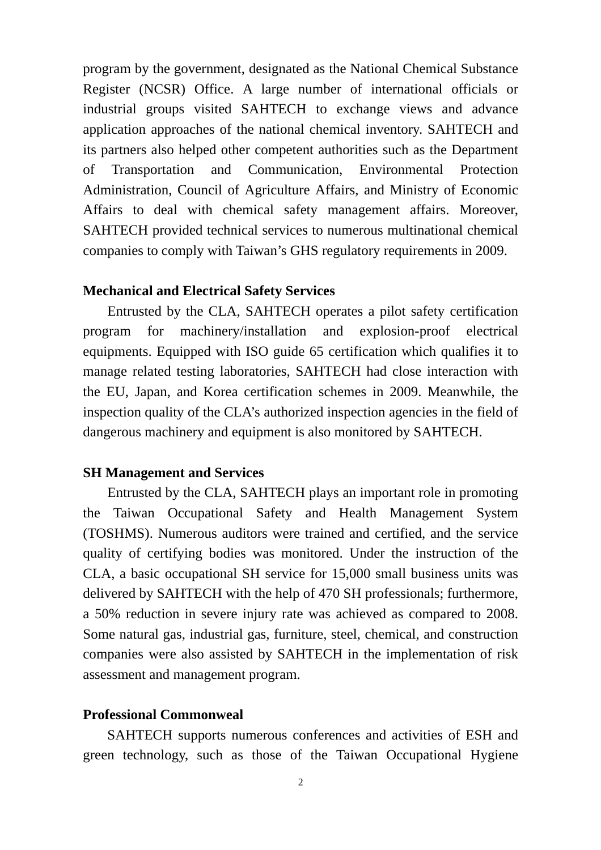program by the government, designated as the National Chemical Substance Register (NCSR) Office. A large number of international officials or industrial groups visited SAHTECH to exchange views and advance application approaches of the national chemical inventory. SAHTECH and its partners also helped other competent authorities such as the Department of Transportation and Communication, Environmental Protection Administration, Council of Agriculture Affairs, and Ministry of Economic Affairs to deal with chemical safety management affairs. Moreover, SAHTECH provided technical services to numerous multinational chemical companies to comply with Taiwan's GHS regulatory requirements in 2009.

### **Mechanical and Electrical Safety Services**

Entrusted by the CLA, SAHTECH operates a pilot safety certification program for machinery/installation and explosion-proof electrical equipments. Equipped with ISO guide 65 certification which qualifies it to manage related testing laboratories, SAHTECH had close interaction with the EU, Japan, and Korea certification schemes in 2009. Meanwhile, the inspection quality of the CLA's authorized inspection agencies in the field of dangerous machinery and equipment is also monitored by SAHTECH.

## **SH Management and Services**

Entrusted by the CLA, SAHTECH plays an important role in promoting the Taiwan Occupational Safety and Health Management System (TOSHMS). Numerous auditors were trained and certified, and the service quality of certifying bodies was monitored. Under the instruction of the CLA, a basic occupational SH service for 15,000 small business units was delivered by SAHTECH with the help of 470 SH professionals; furthermore, a 50% reduction in severe injury rate was achieved as compared to 2008. Some natural gas, industrial gas, furniture, steel, chemical, and construction companies were also assisted by SAHTECH in the implementation of risk assessment and management program.

### **Professional Commonweal**

SAHTECH supports numerous conferences and activities of ESH and green technology, such as those of the Taiwan Occupational Hygiene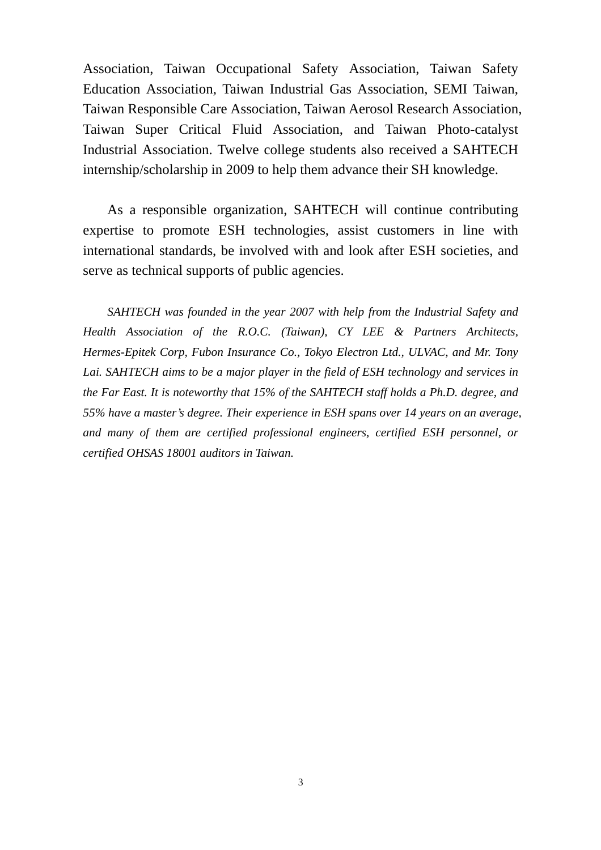Association, Taiwan Occupational Safety Association, Taiwan Safety Education Association, Taiwan Industrial Gas Association, SEMI Taiwan, Taiwan Responsible Care Association, Taiwan Aerosol Research Association, Taiwan Super Critical Fluid Association, and Taiwan Photo-catalyst Industrial Association. Twelve college students also received a SAHTECH internship/scholarship in 2009 to help them advance their SH knowledge.

As a responsible organization, SAHTECH will continue contributing expertise to promote ESH technologies, assist customers in line with international standards, be involved with and look after ESH societies, and serve as technical supports of public agencies.

*SAHTECH was founded in the year 2007 with help from the Industrial Safety and Health Association of the R.O.C. (Taiwan), CY LEE & Partners Architects, Hermes-Epitek Corp, Fubon Insurance Co., Tokyo Electron Ltd., ULVAC, and Mr. Tony Lai. SAHTECH aims to be a major player in the field of ESH technology and services in the Far East. It is noteworthy that 15% of the SAHTECH staff holds a Ph.D. degree, and 55% have a master's degree. Their experience in ESH spans over 14 years on an average, and many of them are certified professional engineers, certified ESH personnel, or certified OHSAS 18001 auditors in Taiwan.*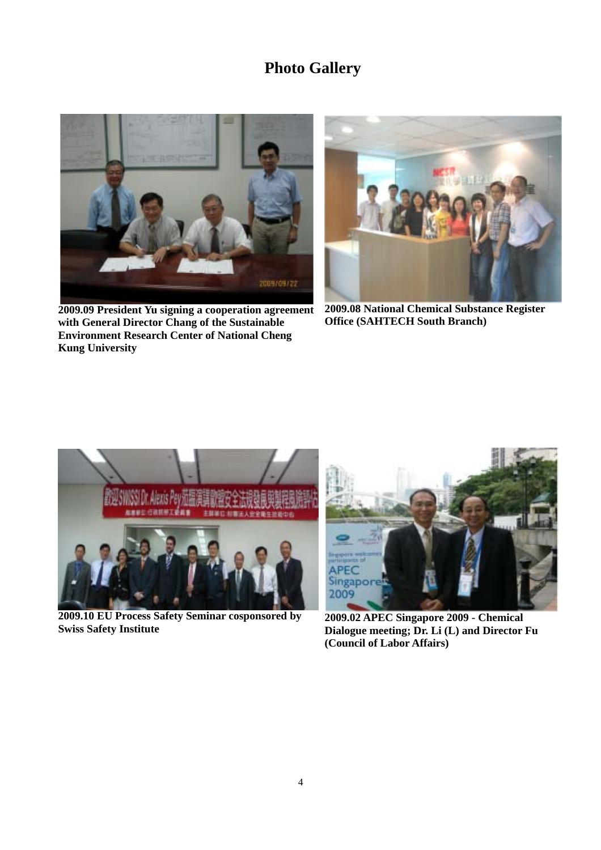# **Photo Gallery**



**2009.09 President Yu signing a cooperation agreement with General Director Chang of the Sustainable Environment Research Center of National Cheng Kung University** 



**2009.08 National Chemical Substance Register Office (SAHTECH South Branch)** 



**2009.10 EU Process Safety Seminar cosponsored by Swiss Safety Institute** 



**2009.02 APEC Singapore 2009 - Chemical Dialogue meeting; Dr. Li (L) and Director Fu (Council of Labor Affairs)**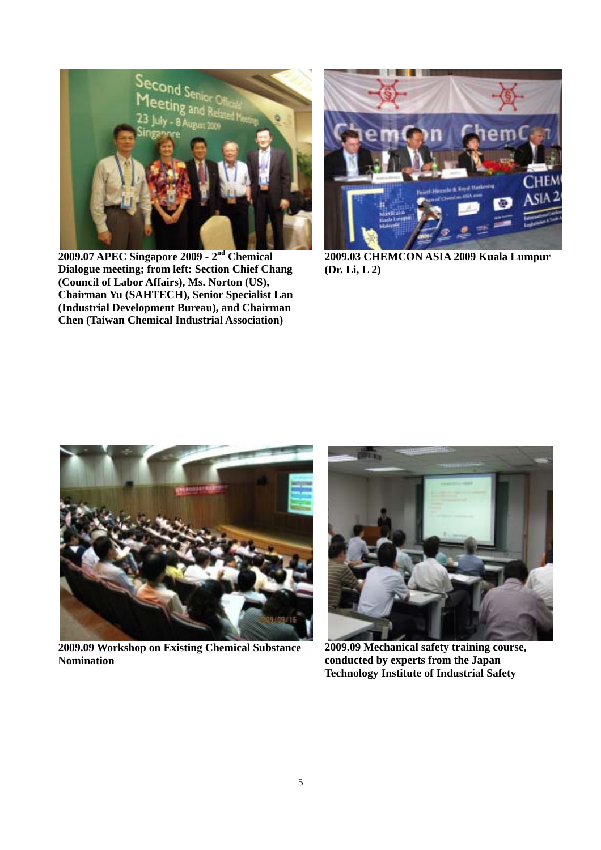

**2009.07 APEC Singapore 2009 - 2nd Chemical Dialogue meeting; from left: Section Chief Chang (Council of Labor Affairs), Ms. Norton (US), Chairman Yu (SAHTECH), Senior Specialist Lan (Industrial Development Bureau), and Chairman Chen (Taiwan Chemical Industrial Association)** 



**2009.03 CHEMCON ASIA 2009 Kuala Lumpur (Dr. Li, L 2)** 



**2009.09 Workshop on Existing Chemical Substance Nomination** 



**2009.09 Mechanical safety training course, conducted by experts from the Japan Technology Institute of Industrial Safety**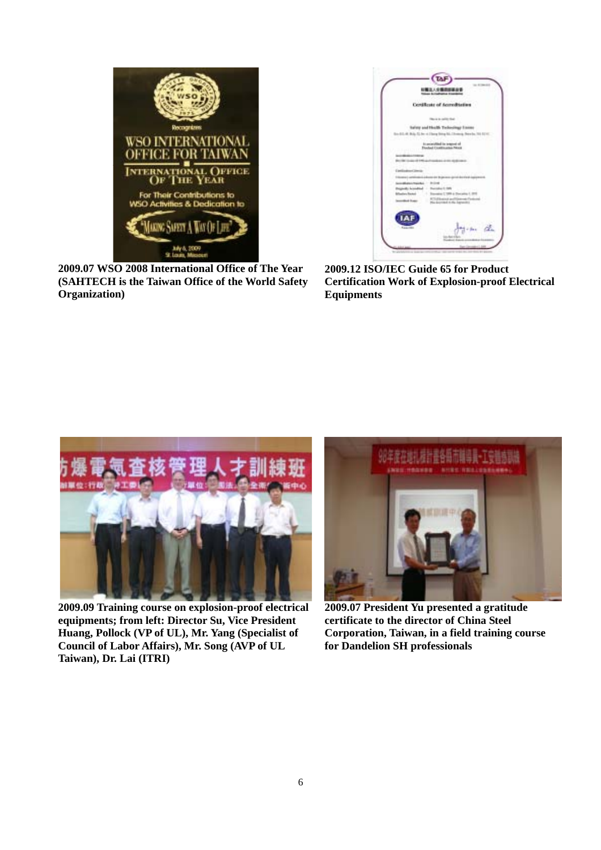

**2009.07 WSO 2008 International Office of The Year (SAHTECH is the Taiwan Office of the World Safety Organization)** 



**2009.12 ISO/IEC Guide 65 for Product Certification Work of Explosion-proof Electrical Equipments** 



**2009.09 Training course on explosion-proof electrical equipments; from left: Director Su, Vice President Huang, Pollock (VP of UL), Mr. Yang (Specialist of Council of Labor Affairs), Mr. Song (AVP of UL Taiwan), Dr. Lai (ITRI)** 



**2009.07 President Yu presented a gratitude certificate to the director of China Steel Corporation, Taiwan, in a field training course for Dandelion SH professionals**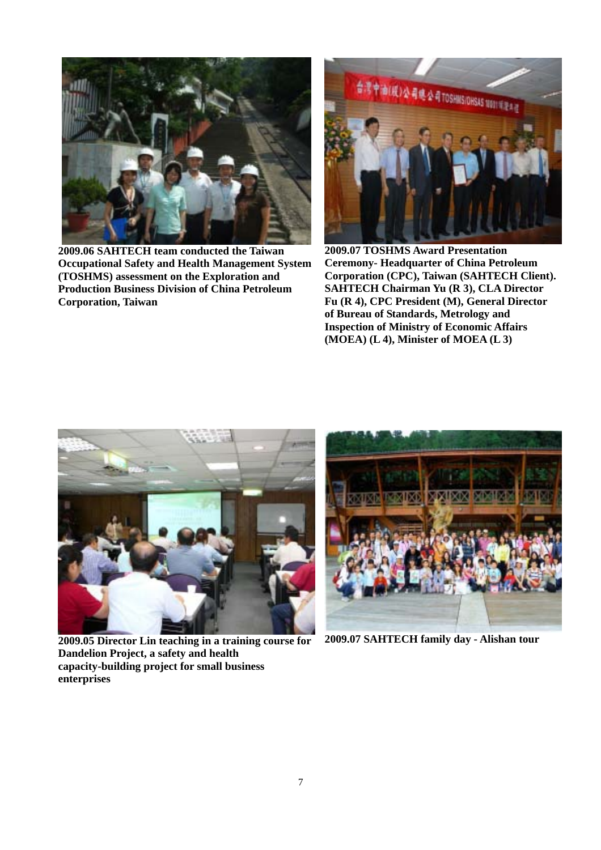

**2009.06 SAHTECH team conducted the Taiwan Occupational Safety and Health Management System (TOSHMS) assessment on the Exploration and Production Business Division of China Petroleum Corporation, Taiwan** 



**2009.07 TOSHMS Award Presentation Ceremony- Headquarter of China Petroleum Corporation (CPC), Taiwan (SAHTECH Client). SAHTECH Chairman Yu (R 3), CLA Director Fu (R 4), CPC President (M), General Director of Bureau of Standards, Metrology and Inspection of Ministry of Economic Affairs (MOEA) (L 4), Minister of MOEA (L 3)** 



**2009.05 Director Lin teaching in a training course for Dandelion Project, a safety and health capacity-building project for small business enterprises** 



**2009.07 SAHTECH family day - Alishan tour**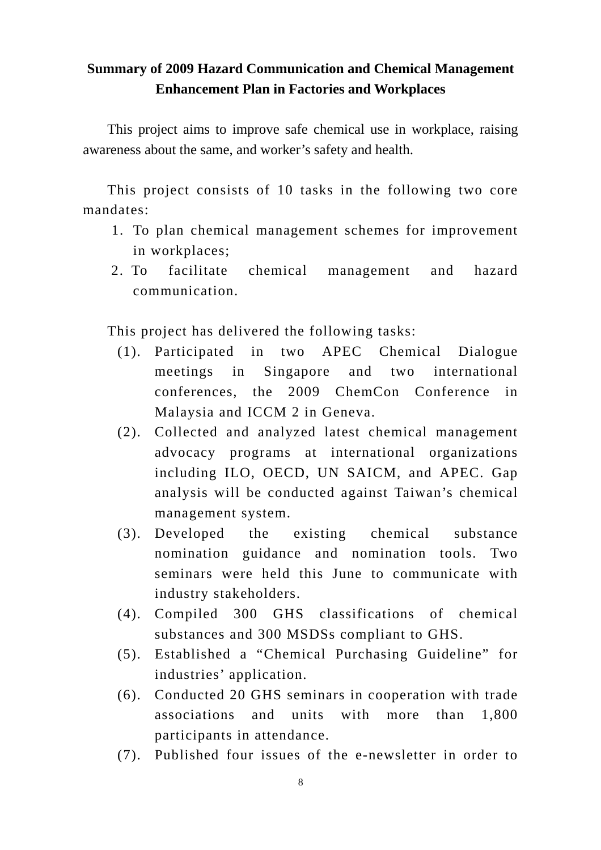## **Summary of 2009 Hazard Communication and Chemical Management Enhancement Plan in Factories and Workplaces**

This project aims to improve safe chemical use in workplace, raising awareness about the same, and worker's safety and health.

This project consists of 10 tasks in the following two core mandates:

- 1. To plan chemical management schemes for improvement in workplaces;
- 2. To facilitate chemical management and hazard communication.

This project has delivered the following tasks:

- (1). Participated in two APEC Chemical Dialogue meetings in Singapore and two international conferences, the 2009 ChemCon Conference in Malaysia and ICCM 2 in Geneva.
- (2). Collected and analyzed latest chemical management advocacy programs at international organizations including ILO, OECD, UN SAICM, and APEC. Gap analysis will be conducted against Taiwan's chemical management system.
- (3). Developed the existing chemical substance nomination guidance and nomination tools. Two seminars were held this June to communicate with industry stakeholders.
- (4). Compiled 300 GHS classifications of chemical substances and 300 MSDSs compliant to GHS.
- (5). Established a "Chemical Purchasing Guideline" for industries' application.
- (6). Conducted 20 GHS seminars in cooperation with trade associations and units with more than 1,800 participants in attendance.
- (7). Published four issues of the e-newsletter in order to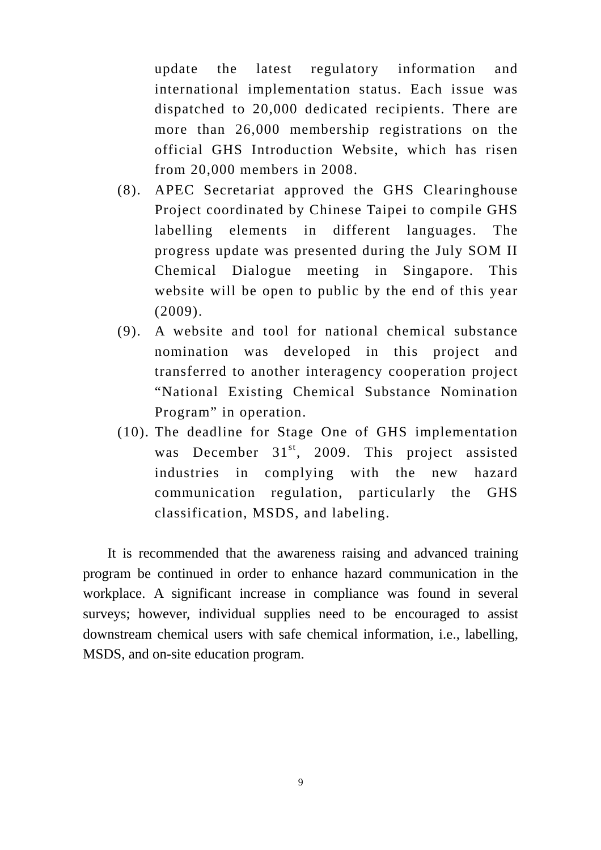update the latest regulatory information and international implementation status. Each issue was dispatched to 20,000 dedicated recipients. There are more than 26,000 membership registrations on the official GHS Introduction Website, which has risen from 20,000 members in 2008.

- (8). APEC Secretariat approved the GHS Clearinghouse Project coordinated by Chinese Taipei to compile GHS labelling elements in different languages. The progress update was presented during the July SOM II Chemical Dialogue meeting in Singapore. This website will be open to public by the end of this year (2009).
- (9). A website and tool for national chemical substance nomination was developed in this project and transferred to another interagency cooperation project "National Existing Chemical Substance Nomination Program" in operation.
- (10). The deadline for Stage One of GHS implementation was December  $31<sup>st</sup>$ , 2009. This project assisted industries in complying with the new hazard communication regulation, particularly the GHS classification, MSDS, and labeling.

It is recommended that the awareness raising and advanced training program be continued in order to enhance hazard communication in the workplace. A significant increase in compliance was found in several surveys; however, individual supplies need to be encouraged to assist downstream chemical users with safe chemical information, i.e., labelling, MSDS, and on-site education program.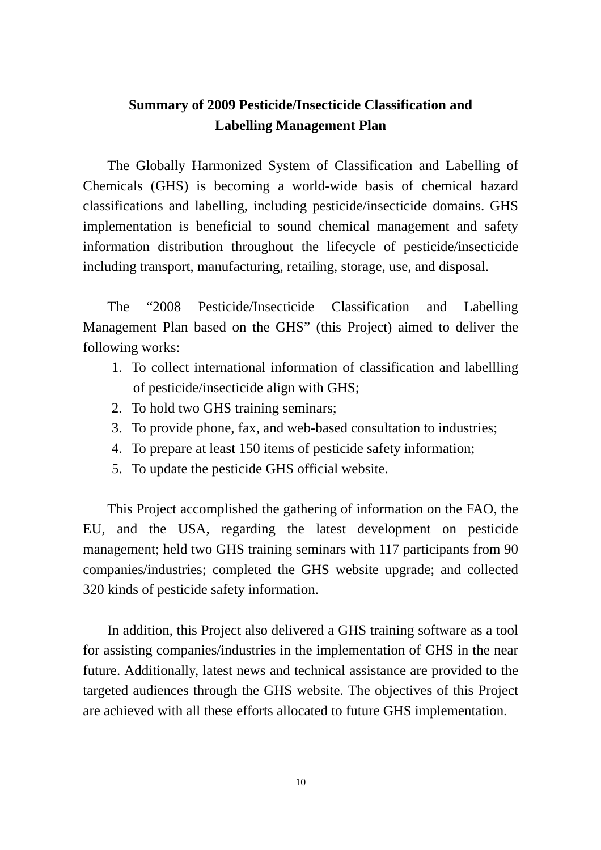## **Summary of 2009 Pesticide/Insecticide Classification and Labelling Management Plan**

The Globally Harmonized System of Classification and Labelling of Chemicals (GHS) is becoming a world-wide basis of chemical hazard classifications and labelling, including pesticide/insecticide domains. GHS implementation is beneficial to sound chemical management and safety information distribution throughout the lifecycle of pesticide/insecticide including transport, manufacturing, retailing, storage, use, and disposal.

The "2008 Pesticide/Insecticide Classification and Labelling Management Plan based on the GHS" (this Project) aimed to deliver the following works:

- 1. To collect international information of classification and labellling of pesticide/insecticide align with GHS;
- 2. To hold two GHS training seminars;
- 3. To provide phone, fax, and web-based consultation to industries;
- 4. To prepare at least 150 items of pesticide safety information;
- 5. To update the pesticide GHS official website.

This Project accomplished the gathering of information on the FAO, the EU, and the USA, regarding the latest development on pesticide management; held two GHS training seminars with 117 participants from 90 companies/industries; completed the GHS website upgrade; and collected 320 kinds of pesticide safety information.

In addition, this Project also delivered a GHS training software as a tool for assisting companies/industries in the implementation of GHS in the near future. Additionally, latest news and technical assistance are provided to the targeted audiences through the GHS website. The objectives of this Project are achieved with all these efforts allocated to future GHS implementation.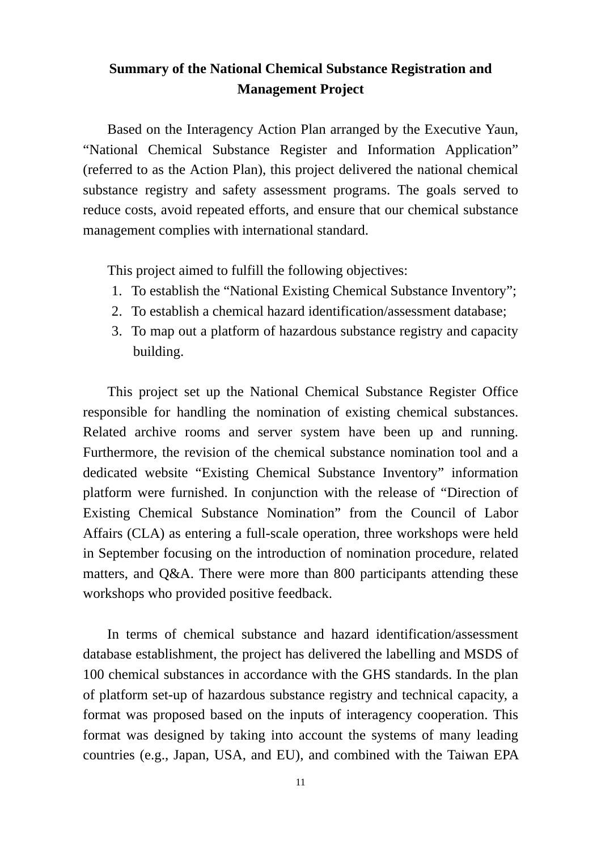## **Summary of the National Chemical Substance Registration and Management Project**

Based on the Interagency Action Plan arranged by the Executive Yaun, "National Chemical Substance Register and Information Application" (referred to as the Action Plan), this project delivered the national chemical substance registry and safety assessment programs. The goals served to reduce costs, avoid repeated efforts, and ensure that our chemical substance management complies with international standard.

This project aimed to fulfill the following objectives:

- 1. To establish the "National Existing Chemical Substance Inventory";
- 2. To establish a chemical hazard identification/assessment database;
- 3. To map out a platform of hazardous substance registry and capacity building.

This project set up the National Chemical Substance Register Office responsible for handling the nomination of existing chemical substances. Related archive rooms and server system have been up and running. Furthermore, the revision of the chemical substance nomination tool and a dedicated website "Existing Chemical Substance Inventory" information platform were furnished. In conjunction with the release of "Direction of Existing Chemical Substance Nomination" from the Council of Labor Affairs (CLA) as entering a full-scale operation, three workshops were held in September focusing on the introduction of nomination procedure, related matters, and Q&A. There were more than 800 participants attending these workshops who provided positive feedback.

In terms of chemical substance and hazard identification/assessment database establishment, the project has delivered the labelling and MSDS of 100 chemical substances in accordance with the GHS standards. In the plan of platform set-up of hazardous substance registry and technical capacity, a format was proposed based on the inputs of interagency cooperation. This format was designed by taking into account the systems of many leading countries (e.g., Japan, USA, and EU), and combined with the Taiwan EPA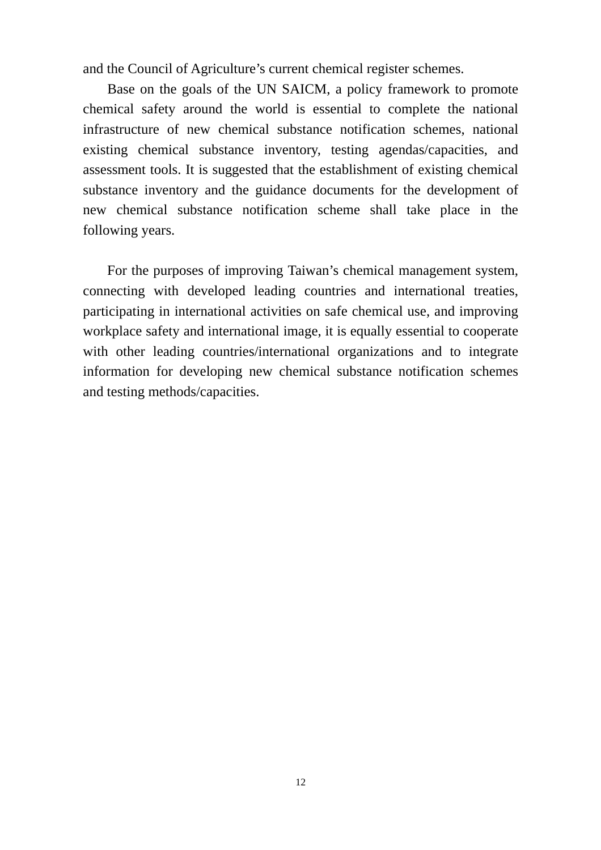and the Council of Agriculture's current chemical register schemes.

Base on the goals of the UN SAICM, a policy framework to promote chemical safety around the world is essential to complete the national infrastructure of new chemical substance notification schemes, national existing chemical substance inventory, testing agendas/capacities, and assessment tools. It is suggested that the establishment of existing chemical substance inventory and the guidance documents for the development of new chemical substance notification scheme shall take place in the following years.

 For the purposes of improving Taiwan's chemical management system, connecting with developed leading countries and international treaties, participating in international activities on safe chemical use, and improving workplace safety and international image, it is equally essential to cooperate with other leading countries/international organizations and to integrate information for developing new chemical substance notification schemes and testing methods/capacities.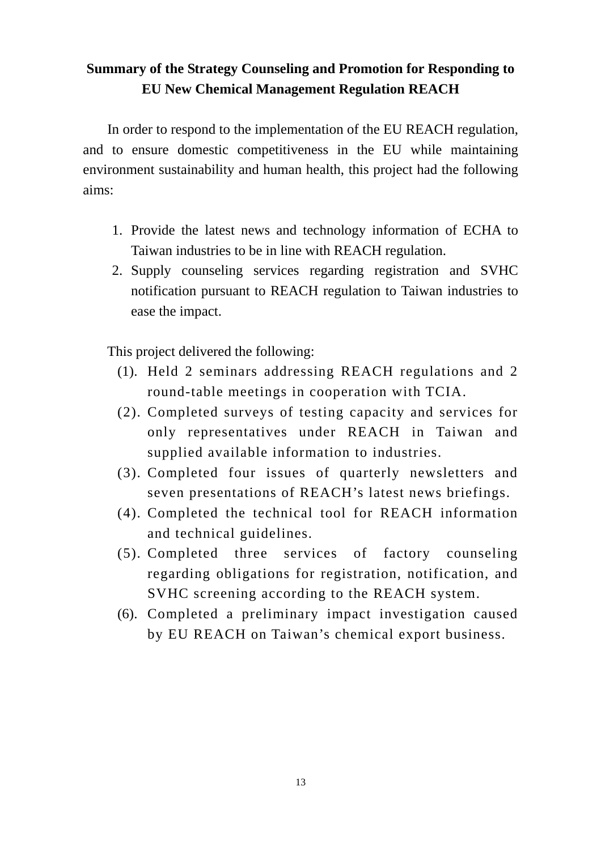# **Summary of the Strategy Counseling and Promotion for Responding to EU New Chemical Management Regulation REACH**

In order to respond to the implementation of the EU REACH regulation, and to ensure domestic competitiveness in the EU while maintaining environment sustainability and human health, this project had the following aims:

- 1. Provide the latest news and technology information of ECHA to Taiwan industries to be in line with REACH regulation.
- 2. Supply counseling services regarding registration and SVHC notification pursuant to REACH regulation to Taiwan industries to ease the impact.

This project delivered the following:

- (1). Held 2 seminars addressing REACH regulations and 2 round-table meetings in cooperation with TCIA.
- (2). Completed surveys of testing capacity and services for only representatives under REACH in Taiwan and supplied available information to industries.
- (3). Completed four issues of quarterly newsletters and seven presentations of REACH's latest news briefings.
- (4). Completed the technical tool for REACH information and technical guidelines.
- (5). Completed three services of factory counseling regarding obligations for registration, notification, and SVHC screening according to the REACH system.
- (6). Completed a preliminary impact investigation caused by EU REACH on Taiwan's chemical export business.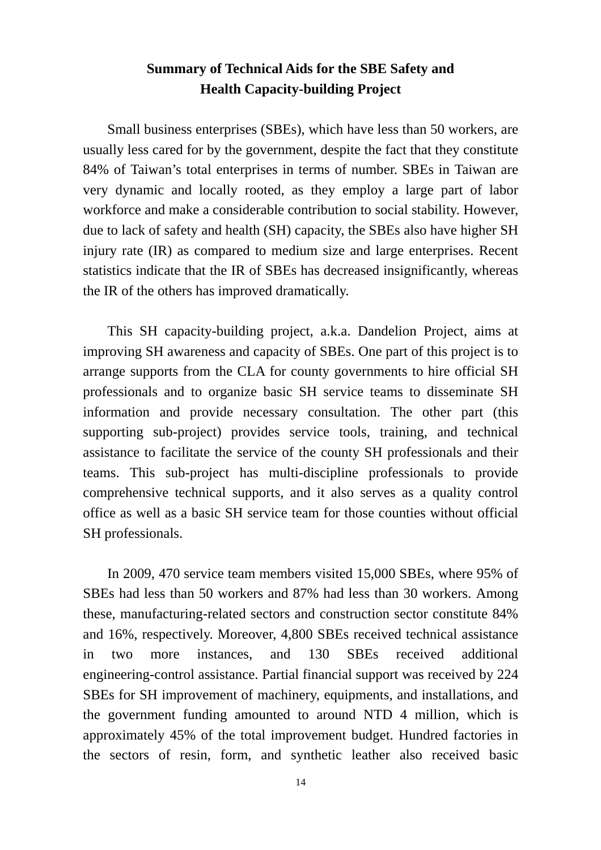## **Summary of Technical Aids for the SBE Safety and Health Capacity-building Project**

Small business enterprises (SBEs), which have less than 50 workers, are usually less cared for by the government, despite the fact that they constitute 84% of Taiwan's total enterprises in terms of number. SBEs in Taiwan are very dynamic and locally rooted, as they employ a large part of labor workforce and make a considerable contribution to social stability. However, due to lack of safety and health (SH) capacity, the SBEs also have higher SH injury rate (IR) as compared to medium size and large enterprises. Recent statistics indicate that the IR of SBEs has decreased insignificantly, whereas the IR of the others has improved dramatically.

This SH capacity-building project, a.k.a. Dandelion Project, aims at improving SH awareness and capacity of SBEs. One part of this project is to arrange supports from the CLA for county governments to hire official SH professionals and to organize basic SH service teams to disseminate SH information and provide necessary consultation. The other part (this supporting sub-project) provides service tools, training, and technical assistance to facilitate the service of the county SH professionals and their teams. This sub-project has multi-discipline professionals to provide comprehensive technical supports, and it also serves as a quality control office as well as a basic SH service team for those counties without official SH professionals.

In 2009, 470 service team members visited 15,000 SBEs, where 95% of SBEs had less than 50 workers and 87% had less than 30 workers. Among these, manufacturing-related sectors and construction sector constitute 84% and 16%, respectively. Moreover, 4,800 SBEs received technical assistance in two more instances, and 130 SBEs received additional engineering-control assistance. Partial financial support was received by 224 SBEs for SH improvement of machinery, equipments, and installations, and the government funding amounted to around NTD 4 million, which is approximately 45% of the total improvement budget. Hundred factories in the sectors of resin, form, and synthetic leather also received basic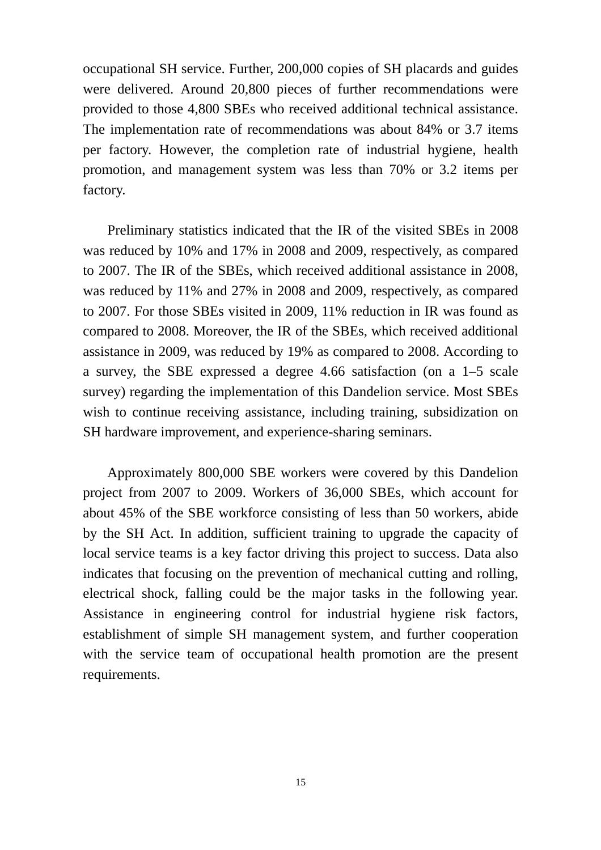occupational SH service. Further, 200,000 copies of SH placards and guides were delivered. Around 20,800 pieces of further recommendations were provided to those 4,800 SBEs who received additional technical assistance. The implementation rate of recommendations was about 84% or 3.7 items per factory. However, the completion rate of industrial hygiene, health promotion, and management system was less than 70% or 3.2 items per factory.

Preliminary statistics indicated that the IR of the visited SBEs in 2008 was reduced by 10% and 17% in 2008 and 2009, respectively, as compared to 2007. The IR of the SBEs, which received additional assistance in 2008, was reduced by 11% and 27% in 2008 and 2009, respectively, as compared to 2007. For those SBEs visited in 2009, 11% reduction in IR was found as compared to 2008. Moreover, the IR of the SBEs, which received additional assistance in 2009, was reduced by 19% as compared to 2008. According to a survey, the SBE expressed a degree 4.66 satisfaction (on a 1–5 scale survey) regarding the implementation of this Dandelion service. Most SBEs wish to continue receiving assistance, including training, subsidization on SH hardware improvement, and experience-sharing seminars.

Approximately 800,000 SBE workers were covered by this Dandelion project from 2007 to 2009. Workers of 36,000 SBEs, which account for about 45% of the SBE workforce consisting of less than 50 workers, abide by the SH Act. In addition, sufficient training to upgrade the capacity of local service teams is a key factor driving this project to success. Data also indicates that focusing on the prevention of mechanical cutting and rolling, electrical shock, falling could be the major tasks in the following year. Assistance in engineering control for industrial hygiene risk factors, establishment of simple SH management system, and further cooperation with the service team of occupational health promotion are the present requirements.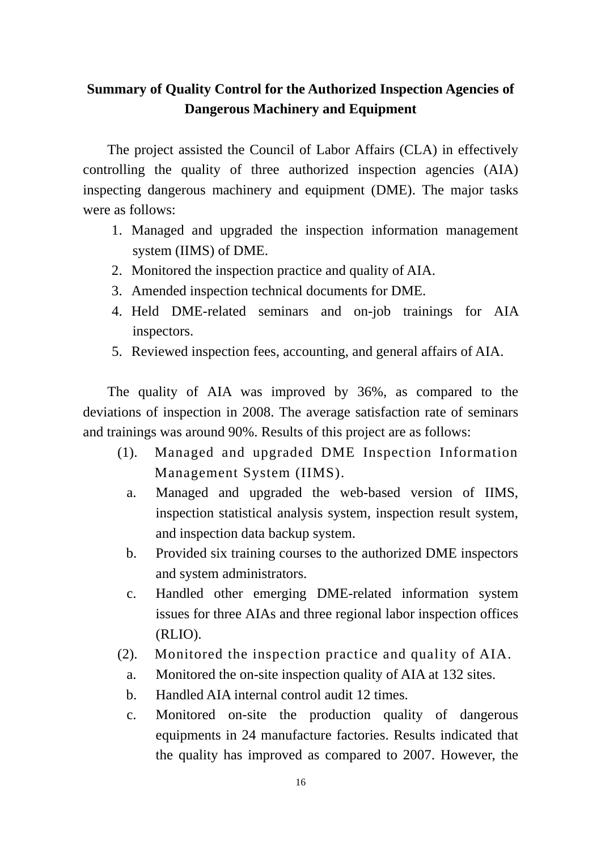## **Summary of Quality Control for the Authorized Inspection Agencies of Dangerous Machinery and Equipment**

The project assisted the Council of Labor Affairs (CLA) in effectively controlling the quality of three authorized inspection agencies (AIA) inspecting dangerous machinery and equipment (DME). The major tasks were as follows:

- 1. Managed and upgraded the inspection information management system (IIMS) of DME.
- 2. Monitored the inspection practice and quality of AIA.
- 3. Amended inspection technical documents for DME.
- 4. Held DME-related seminars and on-job trainings for AIA inspectors.
- 5. Reviewed inspection fees, accounting, and general affairs of AIA.

The quality of AIA was improved by 36%, as compared to the deviations of inspection in 2008. The average satisfaction rate of seminars and trainings was around 90%. Results of this project are as follows:

- (1). Managed and upgraded DME Inspection Information Management System (IIMS).
	- a. Managed and upgraded the web-based version of IIMS, inspection statistical analysis system, inspection result system, and inspection data backup system.
	- b. Provided six training courses to the authorized DME inspectors and system administrators.
	- c. Handled other emerging DME-related information system issues for three AIAs and three regional labor inspection offices (RLIO).
- (2). Monitored the inspection practice and quality of AIA.
	- a. Monitored the on-site inspection quality of AIA at 132 sites.
	- b. Handled AIA internal control audit 12 times.
	- c. Monitored on-site the production quality of dangerous equipments in 24 manufacture factories. Results indicated that the quality has improved as compared to 2007. However, the